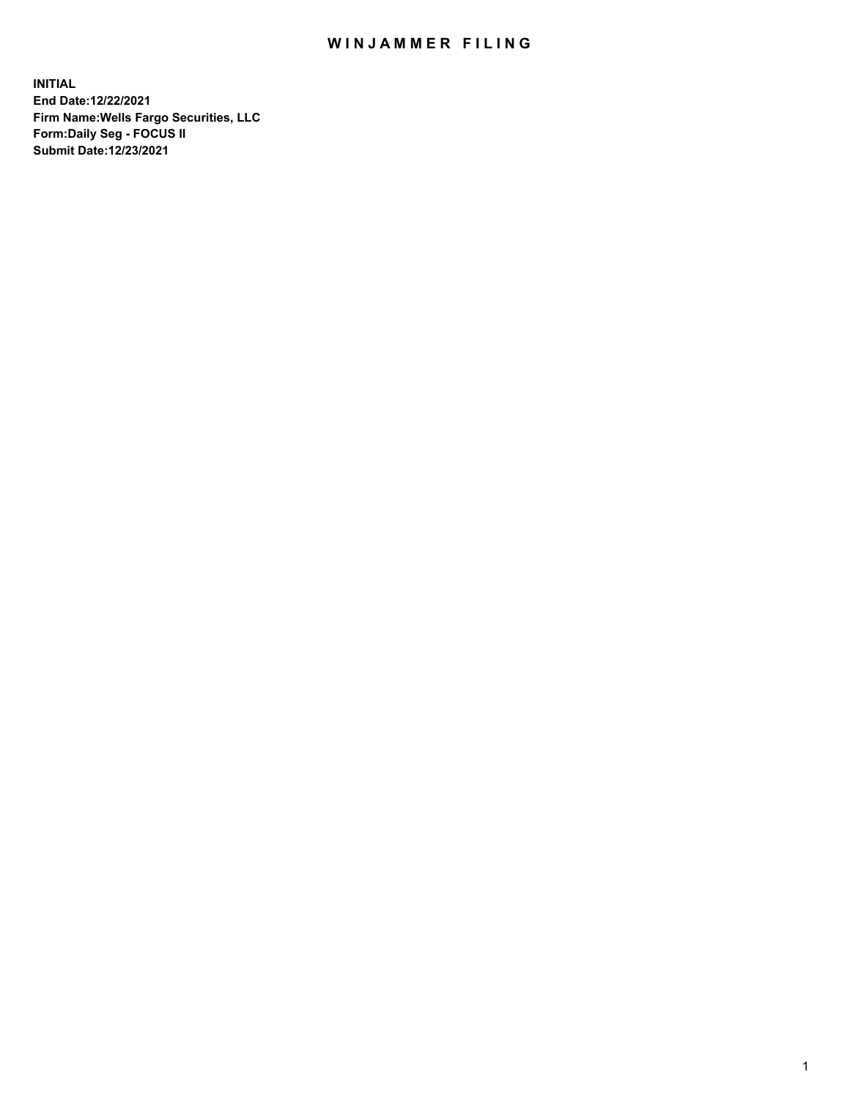## WIN JAMMER FILING

**INITIAL End Date:12/22/2021 Firm Name:Wells Fargo Securities, LLC Form:Daily Seg - FOCUS II Submit Date:12/23/2021**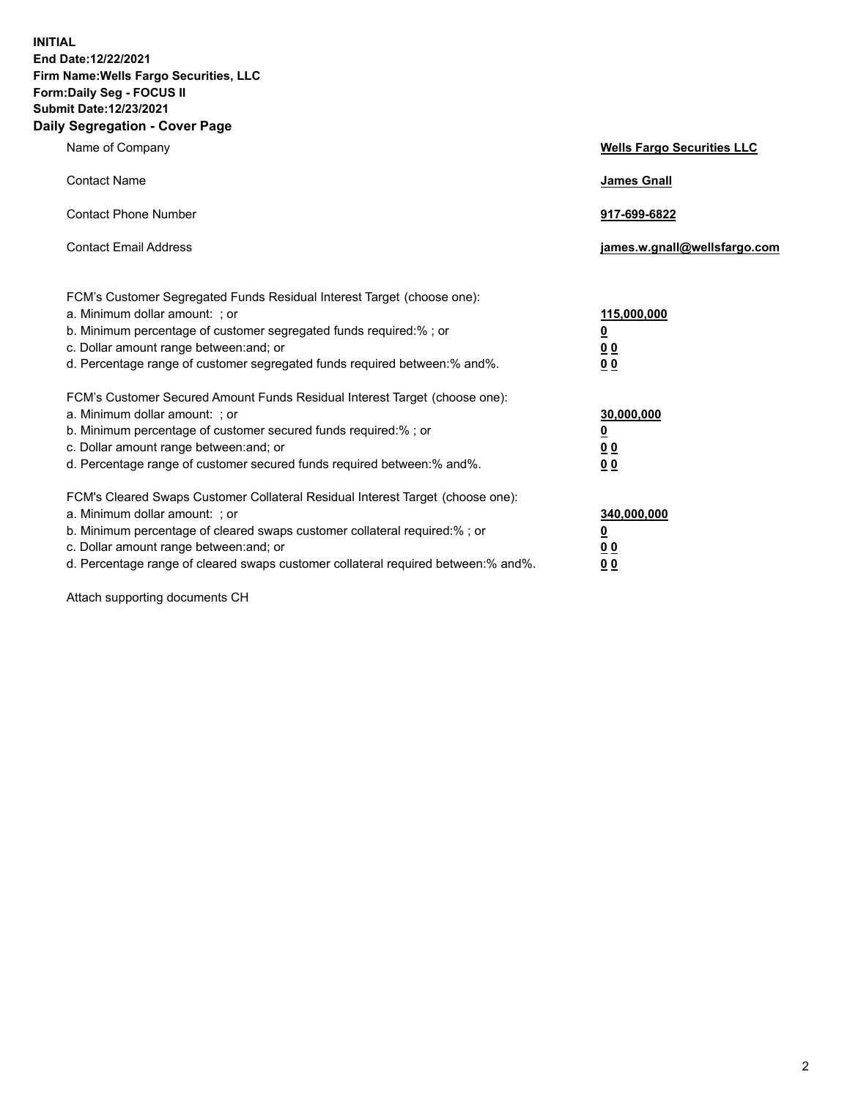**INITIAL End Date:12/22/2021 Firm Name:Wells Fargo Securities, LLC Form:Daily Seg - FOCUS II Submit Date:12/23/2021 Daily Segregation - Cover Page**

| Name of Company                                                                                                                                                                                                                                                                                                                  | <b>Wells Fargo Securities LLC</b>                     |
|----------------------------------------------------------------------------------------------------------------------------------------------------------------------------------------------------------------------------------------------------------------------------------------------------------------------------------|-------------------------------------------------------|
| <b>Contact Name</b>                                                                                                                                                                                                                                                                                                              | <b>James Gnall</b>                                    |
| <b>Contact Phone Number</b>                                                                                                                                                                                                                                                                                                      | 917-699-6822                                          |
| <b>Contact Email Address</b>                                                                                                                                                                                                                                                                                                     | james.w.gnall@wellsfargo.com                          |
| FCM's Customer Segregated Funds Residual Interest Target (choose one):<br>a. Minimum dollar amount: ; or<br>b. Minimum percentage of customer segregated funds required:% ; or<br>c. Dollar amount range between: and; or<br>d. Percentage range of customer segregated funds required between:% and%.                           | 115,000,000<br>$\overline{\mathbf{0}}$<br>00<br>00    |
| FCM's Customer Secured Amount Funds Residual Interest Target (choose one):<br>a. Minimum dollar amount: ; or<br>b. Minimum percentage of customer secured funds required:%; or<br>c. Dollar amount range between: and; or<br>d. Percentage range of customer secured funds required between: % and %.                            | 30,000,000<br><u>0</u><br><u>00</u><br>0 <sub>0</sub> |
| FCM's Cleared Swaps Customer Collateral Residual Interest Target (choose one):<br>a. Minimum dollar amount: ; or<br>b. Minimum percentage of cleared swaps customer collateral required:% ; or<br>c. Dollar amount range between: and; or<br>d. Percentage range of cleared swaps customer collateral required between: % and %. | 340,000,000<br><u>0</u><br><u>0 0</u><br>00           |

Attach supporting documents CH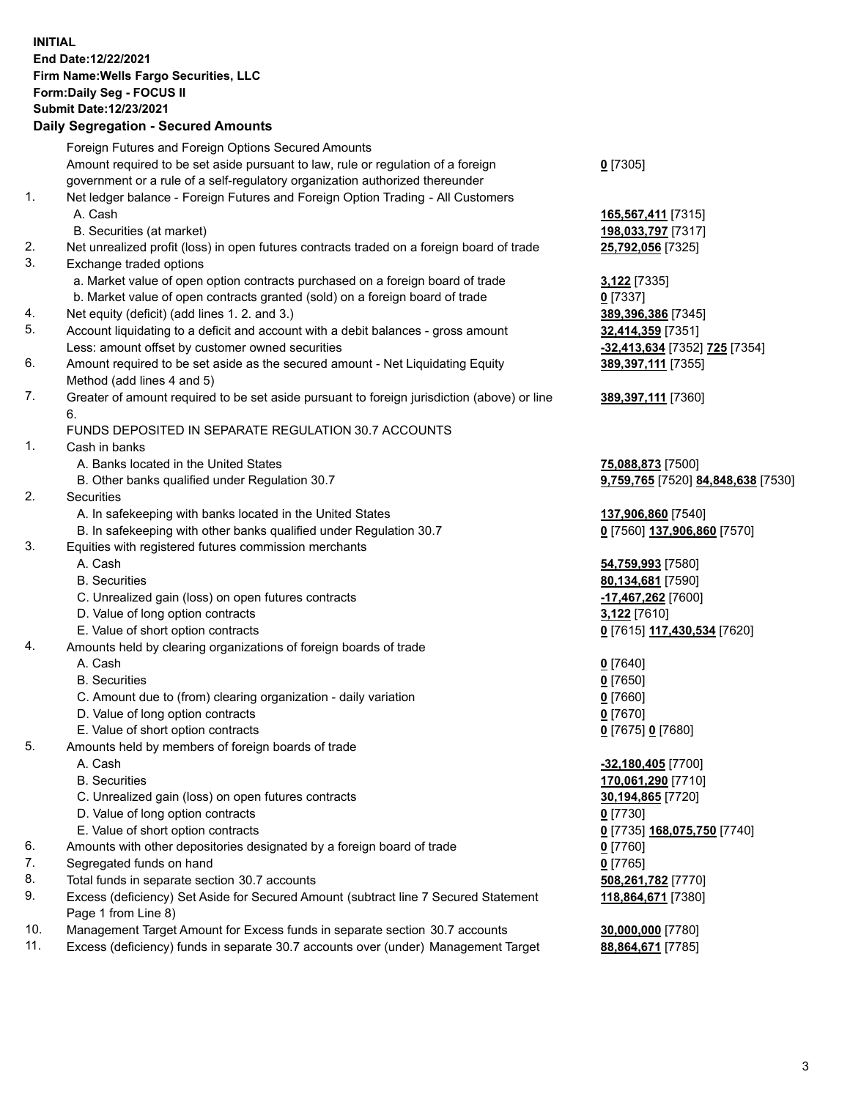**INITIAL End Date:12/22/2021 Firm Name:Wells Fargo Securities, LLC Form:Daily Seg - FOCUS II Submit Date:12/23/2021**

## **Daily Segregation - Secured Amounts**

|     | Foreign Futures and Foreign Options Secured Amounts                                                        |                                    |
|-----|------------------------------------------------------------------------------------------------------------|------------------------------------|
|     | Amount required to be set aside pursuant to law, rule or regulation of a foreign                           | $0$ [7305]                         |
|     | government or a rule of a self-regulatory organization authorized thereunder                               |                                    |
| 1.  | Net ledger balance - Foreign Futures and Foreign Option Trading - All Customers                            |                                    |
|     | A. Cash                                                                                                    | 165,567,411 [7315]                 |
|     | B. Securities (at market)                                                                                  | 198,033,797 [7317]                 |
| 2.  | Net unrealized profit (loss) in open futures contracts traded on a foreign board of trade                  | 25,792,056 [7325]                  |
| 3.  | Exchange traded options                                                                                    |                                    |
|     | a. Market value of open option contracts purchased on a foreign board of trade                             | 3,122 <sub>[7335]</sub>            |
|     | b. Market value of open contracts granted (sold) on a foreign board of trade                               | $0$ [7337]                         |
| 4.  | Net equity (deficit) (add lines 1. 2. and 3.)                                                              | 389,396,386 [7345]                 |
| 5.  | Account liquidating to a deficit and account with a debit balances - gross amount                          | 32,414,359 [7351]                  |
|     | Less: amount offset by customer owned securities                                                           | -32,413,634 [7352] 725 [7354]      |
| 6.  | Amount required to be set aside as the secured amount - Net Liquidating Equity                             | 389,397,111 [7355]                 |
|     | Method (add lines 4 and 5)                                                                                 |                                    |
| 7.  | Greater of amount required to be set aside pursuant to foreign jurisdiction (above) or line                | 389, 397, 111 [7360]               |
|     | 6.                                                                                                         |                                    |
|     | FUNDS DEPOSITED IN SEPARATE REGULATION 30.7 ACCOUNTS                                                       |                                    |
| 1.  | Cash in banks                                                                                              |                                    |
|     | A. Banks located in the United States                                                                      | 75,088,873 [7500]                  |
|     | B. Other banks qualified under Regulation 30.7                                                             | 9,759,765 [7520] 84,848,638 [7530] |
| 2.  | Securities                                                                                                 |                                    |
|     | A. In safekeeping with banks located in the United States                                                  | 137,906,860 [7540]                 |
|     | B. In safekeeping with other banks qualified under Regulation 30.7                                         | 0 [7560] 137,906,860 [7570]        |
| 3.  | Equities with registered futures commission merchants                                                      |                                    |
|     | A. Cash                                                                                                    | 54,759,993 [7580]                  |
|     | <b>B.</b> Securities                                                                                       | 80,134,681 [7590]                  |
|     | C. Unrealized gain (loss) on open futures contracts                                                        | -17,467,262 <sup>[7600]</sup>      |
|     | D. Value of long option contracts                                                                          | 3,122 [7610]                       |
|     | E. Value of short option contracts                                                                         | 0 [7615] 117,430,534 [7620]        |
| 4.  | Amounts held by clearing organizations of foreign boards of trade                                          |                                    |
|     | A. Cash                                                                                                    | $0$ [7640]                         |
|     | <b>B.</b> Securities                                                                                       | $0$ [7650]                         |
|     | C. Amount due to (from) clearing organization - daily variation                                            | $0$ [7660]                         |
|     | D. Value of long option contracts                                                                          | $0$ [7670]                         |
|     | E. Value of short option contracts                                                                         | 0 [7675] 0 [7680]                  |
| 5.  | Amounts held by members of foreign boards of trade                                                         |                                    |
|     | A. Cash                                                                                                    | -32,180,405 [7700]                 |
|     | <b>B.</b> Securities                                                                                       | 170,061,290 [7710]                 |
|     | C. Unrealized gain (loss) on open futures contracts                                                        | 30,194,865 [7720]                  |
|     | D. Value of long option contracts                                                                          | $0$ [7730]                         |
|     | E. Value of short option contracts                                                                         | 0 [7735] 168,075,750 [7740]        |
| 6.  | Amounts with other depositories designated by a foreign board of trade                                     | 0 [7760]                           |
| 7.  | Segregated funds on hand                                                                                   | $0$ [7765]                         |
| 8.  | Total funds in separate section 30.7 accounts                                                              | 508,261,782 [7770]                 |
| 9.  | Excess (deficiency) Set Aside for Secured Amount (subtract line 7 Secured Statement<br>Page 1 from Line 8) | 118,864,671 [7380]                 |
| 10. | Management Target Amount for Excess funds in separate section 30.7 accounts                                | 30,000,000 [7780]                  |
| 11. | Excess (deficiency) funds in separate 30.7 accounts over (under) Management Target                         | 88,864,671 [7785]                  |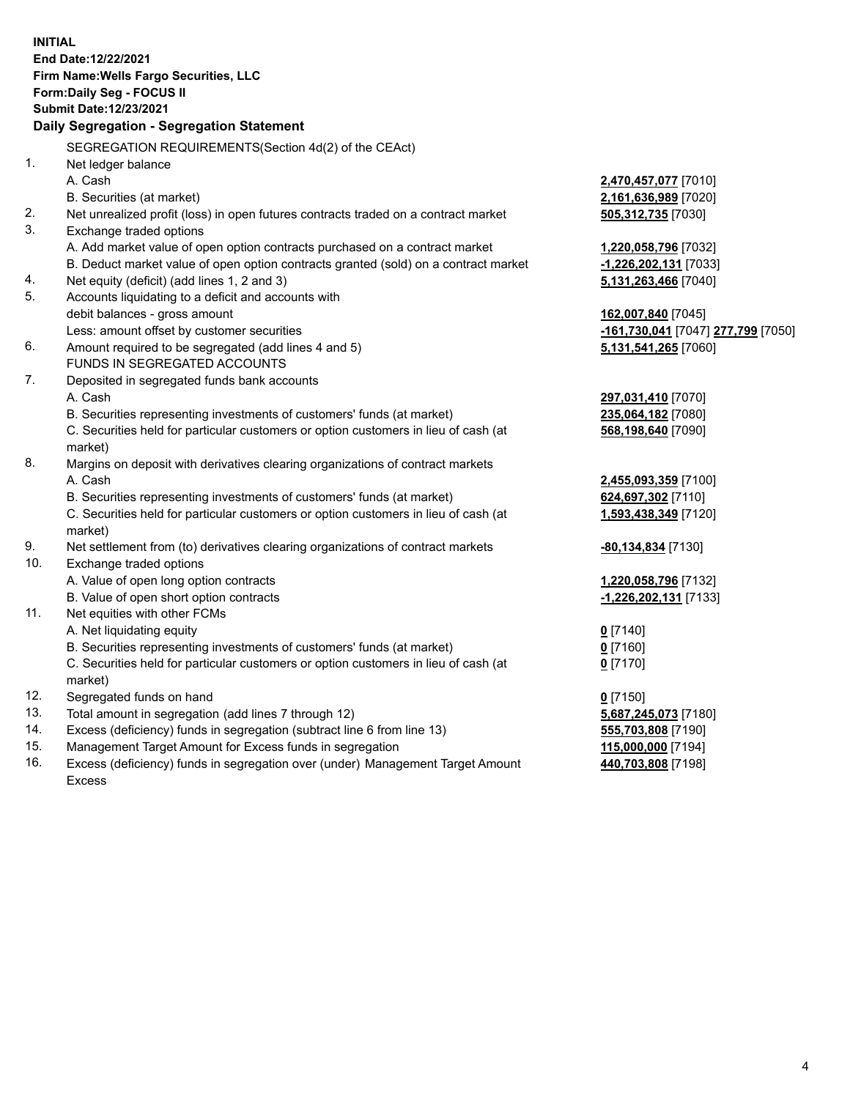**INITIAL End Date:12/22/2021 Firm Name:Wells Fargo Securities, LLC Form:Daily Seg - FOCUS II Submit Date:12/23/2021 Daily Segregation - Segregation Statement** SEGREGATION REQUIREMENTS(Section 4d(2) of the CEAct) 1. Net ledger balance A. Cash **2,470,457,077** [7010] B. Securities (at market) **2,161,636,989** [7020] 2. Net unrealized profit (loss) in open futures contracts traded on a contract market **505,312,735** [7030] 3. Exchange traded options A. Add market value of open option contracts purchased on a contract market **1,220,058,796** [7032] B. Deduct market value of open option contracts granted (sold) on a contract market **-1,226,202,131** [7033] 4. Net equity (deficit) (add lines 1, 2 and 3) **5,131,263,466** [7040] 5. Accounts liquidating to a deficit and accounts with debit balances - gross amount **162,007,840** [7045] Less: amount offset by customer securities **-161,730,041** [7047] **277,799** [7050] 6. Amount required to be segregated (add lines 4 and 5) **5,131,541,265** [7060] FUNDS IN SEGREGATED ACCOUNTS 7. Deposited in segregated funds bank accounts A. Cash **297,031,410** [7070] B. Securities representing investments of customers' funds (at market) **235,064,182** [7080] C. Securities held for particular customers or option customers in lieu of cash (at market) **568,198,640** [7090] 8. Margins on deposit with derivatives clearing organizations of contract markets A. Cash **2,455,093,359** [7100] B. Securities representing investments of customers' funds (at market) **624,697,302** [7110] C. Securities held for particular customers or option customers in lieu of cash (at market) **1,593,438,349** [7120] 9. Net settlement from (to) derivatives clearing organizations of contract markets **-80,134,834** [7130] 10. Exchange traded options A. Value of open long option contracts **1,220,058,796** [7132] B. Value of open short option contracts **-1,226,202,131** [7133] 11. Net equities with other FCMs A. Net liquidating equity **0** [7140] B. Securities representing investments of customers' funds (at market) **0** [7160] C. Securities held for particular customers or option customers in lieu of cash (at market) **0** [7170] 12. Segregated funds on hand **0** [7150] 13. Total amount in segregation (add lines 7 through 12) **5,687,245,073** [7180] 14. Excess (deficiency) funds in segregation (subtract line 6 from line 13) **555,703,808** [7190]

- 15. Management Target Amount for Excess funds in segregation **115,000,000** [7194]
- 16. Excess (deficiency) funds in segregation over (under) Management Target Amount Excess

**440,703,808** [7198]